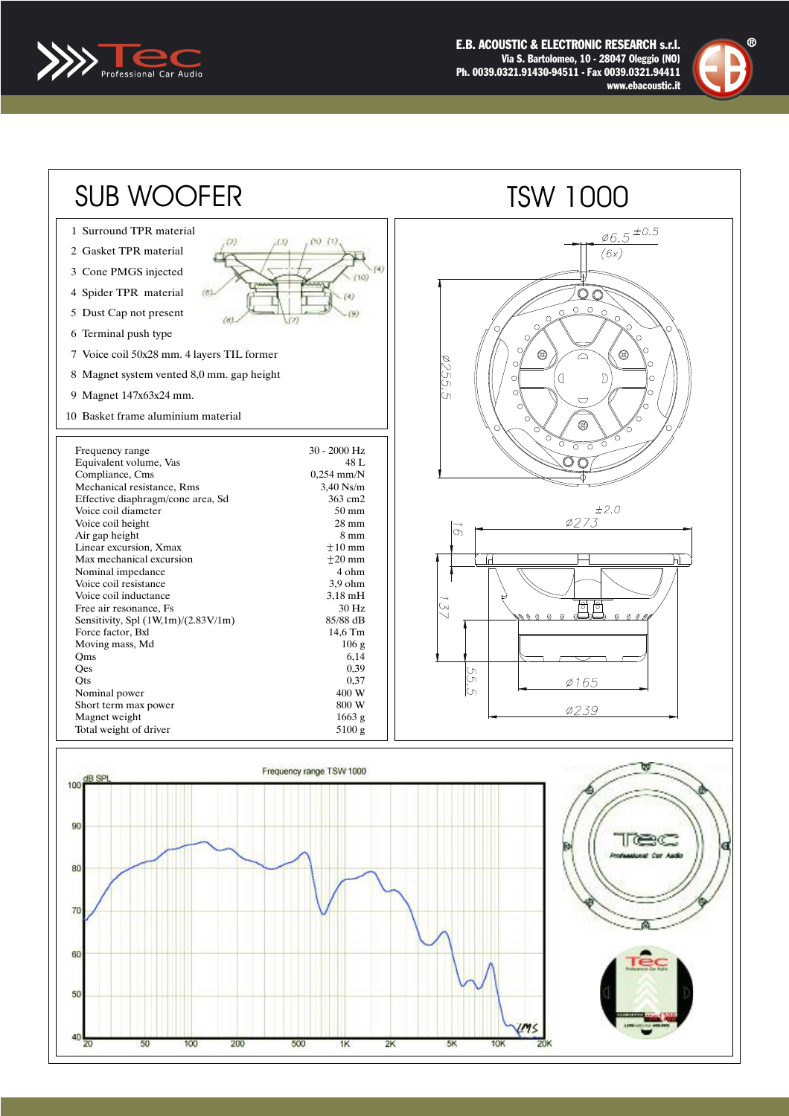